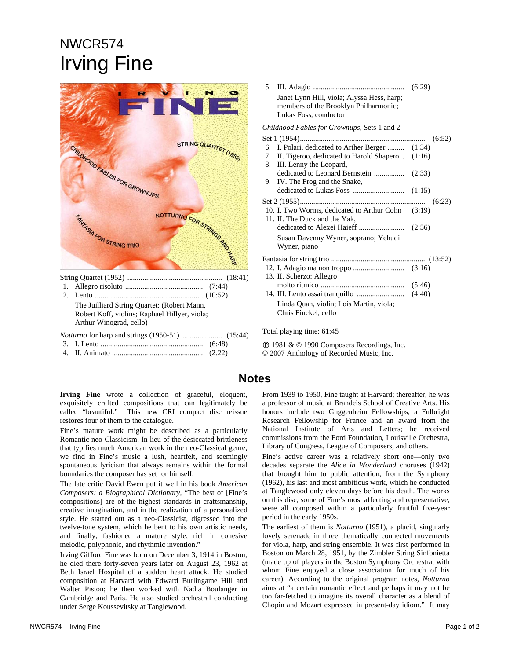## NWCR574 Irving Fine



*Notturno* for harp and strings (1950-51) ..................... (15:44)

3. I. Lento ...................................................... (6:48)  $\mathbf{H}$ . Animat

|  | (L:22) |
|--|--------|
|  |        |

|                                                    | Janet Lynn Hill, viola; Alyssa Hess, harp;<br>members of the Brooklyn Philharmonic;<br>Lukas Foss, conductor | (6:29) |  |
|----------------------------------------------------|--------------------------------------------------------------------------------------------------------------|--------|--|
| <i>Childhood Fables for Grownups, Sets 1 and 2</i> |                                                                                                              |        |  |
| (6:52)<br>Set 1 (1954)                             |                                                                                                              |        |  |
|                                                    | 6. I. Polari, dedicated to Arther Berger  (1:34)                                                             |        |  |
|                                                    | 7. II. Tigeroo, dedicated to Harold Shapero. (1:16)<br>8. III. Lenny the Leopard,                            |        |  |
| 9.                                                 | IV. The Frog and the Snake,                                                                                  |        |  |
|                                                    |                                                                                                              |        |  |
| (6:23)                                             |                                                                                                              |        |  |
|                                                    | 10. I. Two Worms, dedicated to Arthur Cohn (3:19)<br>11. II. The Duck and the Yak,                           |        |  |
|                                                    |                                                                                                              |        |  |
|                                                    | Susan Davenny Wyner, soprano; Yehudi<br>Wyner, piano                                                         |        |  |
|                                                    |                                                                                                              |        |  |
|                                                    | 13. II. Scherzo: Allegro                                                                                     |        |  |
|                                                    |                                                                                                              |        |  |
|                                                    |                                                                                                              |        |  |
|                                                    | Linda Quan, violin; Lois Martin, viola;<br>Chris Finckel, cello                                              |        |  |
| Total playing time: 61:45                          |                                                                                                              |        |  |

 $\circledR$  1981 &  $\circledR$  1990 Composers Recordings, Inc. © 2007 Anthology of Recorded Music, Inc.

## **Notes**

**Irving Fine** wrote a collection of graceful, eloquent, exquisitely crafted compositions that can legitimately be called "beautiful." This new CRI compact disc reissue restores four of them to the catalogue.

Fine's mature work might be described as a particularly Romantic neo-Classicism. In lieu of the desiccated brittleness that typifies much American work in the neo-Classical genre, we find in Fine's music a lush, heartfelt, and seemingly spontaneous lyricism that always remains within the formal boundaries the composer has set for himself.

The late critic David Ewen put it well in his book *American Composers: a Biographical Dictionary*, "The best of [Fine's compositions] are of the highest standards in craftsmanship, creative imagination, and in the realization of a personalized style. He started out as a neo-Classicist, digressed into the twelve-tone system, which he bent to his own artistic needs, and finally, fashioned a mature style, rich in cohesive melodic, polyphonic, and rhythmic invention."

Irving Gifford Fine was born on December 3, 1914 in Boston; he died there forty-seven years later on August 23, 1962 at Beth Israel Hospital of a sudden heart attack. He studied composition at Harvard with Edward Burlingame Hill and Walter Piston; he then worked with Nadia Boulanger in Cambridge and Paris. He also studied orchestral conducting under Serge Koussevitsky at Tanglewood.

From 1939 to 1950, Fine taught at Harvard; thereafter, he was a professor of music at Brandeis School of Creative Arts. His honors include two Guggenheim Fellowships, a Fulbright Research Fellowship for France and an award from the National Institute of Arts and Letters; he received commissions from the Ford Foundation, Louisville Orchestra, Library of Congress, League of Composers, and others.

Fine's active career was a relatively short one—only two decades separate the *Alice in Wonderland* choruses (1942) that brought him to public attention, from the Symphony (1962), his last and most ambitious work, which he conducted at Tanglewood only eleven days before his death. The works on this disc, some of Fine's most affecting and representative, were all composed within a particularly fruitful five-year period in the early 1950s.

The earliest of them is *Notturno* (1951), a placid, singularly lovely serenade in three thematically connected movements for viola, harp, and string ensemble. It was first performed in Boston on March 28, 1951, by the Zimbler String Sinfonietta (made up of players in the Boston Symphony Orchestra, with whom Fine enjoyed a close association for much of his career). According to the original program notes, *Notturno* aims at "a certain romantic effect and perhaps it may not be too far-fetched to imagine its overall character as a blend of Chopin and Mozart expressed in present-day idiom." It may